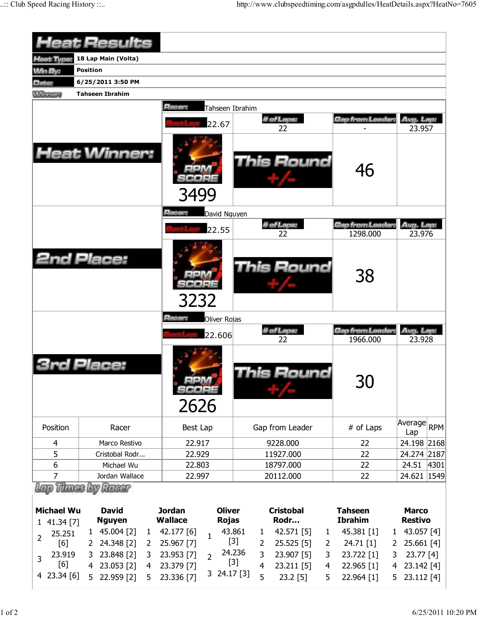|                    | Heat Results                               |                                       |                                   |                              |                                |  |  |  |  |  |  |  |  |
|--------------------|--------------------------------------------|---------------------------------------|-----------------------------------|------------------------------|--------------------------------|--|--|--|--|--|--|--|--|
| Heat Type:         | 18 Lap Main (Volta)                        |                                       |                                   |                              |                                |  |  |  |  |  |  |  |  |
| <b>Win By:</b>     | <b>Position</b>                            |                                       |                                   |                              |                                |  |  |  |  |  |  |  |  |
| Date:              | 6/25/2011 3:50 PM                          |                                       |                                   |                              |                                |  |  |  |  |  |  |  |  |
| Winners            | <b>Tahseen Ibrahim</b>                     |                                       |                                   |                              |                                |  |  |  |  |  |  |  |  |
|                    | Racer:<br>Tahseen Ibrahim                  |                                       |                                   |                              |                                |  |  |  |  |  |  |  |  |
|                    |                                            | 22.67                                 | # of Laps:                        | Gap from Leader.             | Avg. Lap:                      |  |  |  |  |  |  |  |  |
|                    |                                            |                                       | 22                                |                              | 23.957                         |  |  |  |  |  |  |  |  |
|                    | <b>Heat Winner:</b>                        | 3499                                  | <b>This Round</b>                 | 46                           |                                |  |  |  |  |  |  |  |  |
|                    |                                            | Racer:<br>David Nguyen                |                                   |                              |                                |  |  |  |  |  |  |  |  |
|                    |                                            | 22.55                                 | # of Laps:<br>22                  | Gap from Leader<br>1298.000  | Avg. Lap:<br>23.976            |  |  |  |  |  |  |  |  |
|                    |                                            |                                       |                                   |                              |                                |  |  |  |  |  |  |  |  |
|                    | <b>2nd Place:</b>                          | 3232                                  | This Round                        | 38                           |                                |  |  |  |  |  |  |  |  |
|                    |                                            | Racer:<br>Oliver Rojas                |                                   |                              |                                |  |  |  |  |  |  |  |  |
|                    |                                            | 22.606                                | # of Laps:<br>22                  | Gap from Leader:<br>1966.000 | Avg. Lap:<br>23.928            |  |  |  |  |  |  |  |  |
|                    | Place:                                     | <b>BRA</b><br>eepr<br>2626            | his Round                         | 30                           |                                |  |  |  |  |  |  |  |  |
| Position           | Racer                                      | Best Lap                              | Gap from Leader                   | # of Laps                    | Average RPM<br>Lap             |  |  |  |  |  |  |  |  |
| 4                  | Marco Restivo                              | 22.917                                | 9228.000                          | 22                           | 24.198 2168                    |  |  |  |  |  |  |  |  |
| 5                  | Cristobal Rodr                             | 22.929                                | 11927.000                         | 22                           | 24.274 2187                    |  |  |  |  |  |  |  |  |
| 6                  | Michael Wu                                 | 22.803                                | 18797.000                         | 22                           | 24.51<br>4301                  |  |  |  |  |  |  |  |  |
| 7                  | Jordan Wallace                             | 22.997                                | 20112.000                         | 22                           | 24.621 1549                    |  |  |  |  |  |  |  |  |
|                    | Racer                                      |                                       |                                   |                              |                                |  |  |  |  |  |  |  |  |
|                    | <b>David</b>                               | <b>Jordan</b><br><b>Oliver</b>        | <b>Cristobal</b>                  | <b>Tahseen</b>               |                                |  |  |  |  |  |  |  |  |
| <b>Michael Wu</b>  | <b>Nguyen</b>                              | <b>Wallace</b><br><b>Rojas</b>        | Rodr                              | <b>Ibrahim</b>               | <b>Marco</b><br><b>Restivo</b> |  |  |  |  |  |  |  |  |
| 1 41.34 [7]        | 45.004 [2]<br>$\mathbf{1}$<br>$\mathbf{1}$ | 43.861<br>42.177 [6]                  | 42.571 [5]<br>1<br>1              | 45.381 [1]<br>$\mathbf{1}$   | 43.057 [4]                     |  |  |  |  |  |  |  |  |
| 25.251<br>2<br>[6] | 24.348 [2]<br>$\mathbf{2}$<br>2            | $\mathbf{1}$<br>$[3]$<br>25.967 [7]   | 25.525 [5]<br>2<br>$\overline{2}$ | 24.71 [1]<br>2               | 25.661 [4]                     |  |  |  |  |  |  |  |  |
| 23.919             | 23.848 [2]<br>3<br>3                       | 23.953 [7]                            | 24.236<br>3<br>23.907 [5]<br>3    | 23.722 [1]<br>3              | 23.77 [4]                      |  |  |  |  |  |  |  |  |
| 3<br>[6]           | 4 23.053 [2]<br>4                          | $\overline{2}$<br>$[3]$<br>23.379 [7] | 4<br>23.211 [5]<br>4              | 22.965 [1]<br>4              | 23.142 [4]                     |  |  |  |  |  |  |  |  |
| 4 23.34 [6]        | 22.959 [2]<br>5<br>5                       | 3 24.17 [3]<br>23.336 [7]             | 5<br>$23.2$ [5]<br>5              | 22.964 [1]<br>5              | 23.112 [4]                     |  |  |  |  |  |  |  |  |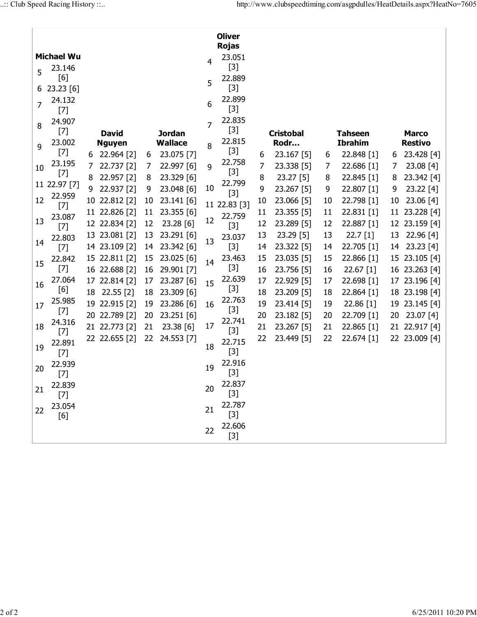| <b>Oliver</b><br><b>Rojas</b> |                                                                                                                                                                                                                                                                                                                                                                                                                                                                                                                                                          |                                 |               |    |            |       |                                    |    |                |                |              |    |               |
|-------------------------------|----------------------------------------------------------------------------------------------------------------------------------------------------------------------------------------------------------------------------------------------------------------------------------------------------------------------------------------------------------------------------------------------------------------------------------------------------------------------------------------------------------------------------------------------------------|---------------------------------|---------------|----|------------|-------|------------------------------------|----|----------------|----------------|--------------|----|---------------|
|                               | <b>Michael Wu</b>                                                                                                                                                                                                                                                                                                                                                                                                                                                                                                                                        |                                 |               |    |            |       | 23.051                             |    |                |                |              |    |               |
|                               | 23.146                                                                                                                                                                                                                                                                                                                                                                                                                                                                                                                                                   |                                 |               |    |            | 4     | $[3]$                              |    |                |                |              |    |               |
| 5                             | [6]                                                                                                                                                                                                                                                                                                                                                                                                                                                                                                                                                      |                                 |               |    |            |       | 22.889                             |    |                |                |              |    |               |
| 6                             | 23.23 [6]                                                                                                                                                                                                                                                                                                                                                                                                                                                                                                                                                |                                 |               |    |            | 5     | $[3]$                              |    |                |                |              |    |               |
| 7                             | 24.132<br>$[7]$                                                                                                                                                                                                                                                                                                                                                                                                                                                                                                                                          |                                 |               |    |            | 6     | 22.899<br>$[3]$                    |    |                |                |              |    |               |
|                               | 24.907                                                                                                                                                                                                                                                                                                                                                                                                                                                                                                                                                   |                                 |               |    |            |       | 22.835                             |    |                |                |              |    |               |
| 8                             | $[7] % \begin{minipage}[b]{0.4\linewidth} \centering \includegraphics[width=\textwidth]{figs/fig_4.pdf} \caption{The 3D (blue) model for the $z$-axis.} \label{fig:3d}% \end{minipage} \vspace{0.05in} \begin{minipage}[b]{0.45\linewidth} \centering \includegraphics[width=\textwidth]{figs/fig_4.pdf} \caption{The 3D (blue) model for the $z$-axis.} \label{fig:3d}% \end{minipage} \vspace{0.05in} \caption{The 3D (blue) model for the $z$-axis.} \label{fig:3d}%$                                                                                 | <b>David</b><br><b>Jordan</b>   |               |    | 7          | $[3]$ | <b>Cristobal</b><br><b>Tahseen</b> |    |                |                | <b>Marco</b> |    |               |
| 9                             | 23.002                                                                                                                                                                                                                                                                                                                                                                                                                                                                                                                                                   | <b>Wallace</b><br><b>Nguyen</b> |               | 8  | 22.815     | Rodr  |                                    |    | <b>Ibrahim</b> | <b>Restivo</b> |              |    |               |
|                               | $[7] % \begin{minipage}[b]{0.4\linewidth} \centering \includegraphics[width=\textwidth]{figs/fig_4.pdf} \caption{The 3D (blue) model for the $z$-axis.} \label{fig:3d}% \end{minipage} \vspace{0.05in} \begin{minipage}[b]{0.45\linewidth} \centering \includegraphics[width=\textwidth]{figs/fig_4.pdf} \caption{The 3D (blue) model for the $z$-axis.} \label{fig:3d}% \end{minipage} \vspace{0.05in} \caption{The 3D (blue) model for the $z$-axis.} \label{fig:3d}%$                                                                                 | 6                               | 22.964 [2]    | 6  | 23.075 [7] |       | $[3]$                              | 6  | 23.167 [5]     | 6              | 22.848 [1]   | 6  | 23.428 [4]    |
| 10                            | 23.195                                                                                                                                                                                                                                                                                                                                                                                                                                                                                                                                                   | 7                               | 22.737 [2]    | 7  | 22.997 [6] | 9     | 22.758                             | 7  | 23.338 [5]     | 7              | 22.686 [1]   | 7  | 23.08[4]      |
|                               | $[7] % \begin{minipage}[b]{0.5\linewidth} \centering \includegraphics[width=\textwidth]{figs/fig_10.pdf} \caption{The 3D (blue) model for the $z$-axis.} \label{fig:3D}% \end{minipage} \vspace{0.05in} \begin{minipage}[b]{0.5\linewidth} \centering \includegraphics[width=\textwidth]{figs/fig_10.pdf} \caption{The 3D (blue) model for the $z$-axis.} \label{fig:3D} \end{minipage} \vspace{0.05in} \begin{minipage}[b]{0.5\linewidth} \centering \includegraphics[width=\textwidth]{figs/fig_10.pdf} \caption{The 3D (blue) model for the $z$-axis$ | 8                               | 22.957 [2]    | 8  | 23.329 [6] |       | $[3]$                              | 8  | 23.27 [5]      | 8              | 22.845 [1]   | 8  | 23.342 [4]    |
|                               | 11 22.97 [7]                                                                                                                                                                                                                                                                                                                                                                                                                                                                                                                                             | 9                               | 22.937 [2]    | 9  | 23.048 [6] | 10    | 22.799<br>$[3]$                    | 9  | 23.267 [5]     | 9              | 22.807 [1]   | 9  | $23.22$ [4]   |
| 12                            | 22.959                                                                                                                                                                                                                                                                                                                                                                                                                                                                                                                                                   |                                 | 10 22.812 [2] | 10 | 23.141 [6] |       | 11 22.83 [3]                       | 10 | 23.066 [5]     | 10             | 22.798 [1]   | 10 | 23.06 [4]     |
|                               | $[7]$<br>23.087                                                                                                                                                                                                                                                                                                                                                                                                                                                                                                                                          |                                 | 11 22.826 [2] | 11 | 23.355 [6] |       | 22.759                             | 11 | 23.355 [5]     | 11             | 22.831 [1]   | 11 | 23.228 [4]    |
| 13                            | $[7]$                                                                                                                                                                                                                                                                                                                                                                                                                                                                                                                                                    |                                 | 12 22.834 [2] | 12 | 23.28 [6]  | 12    | $[3]$                              | 12 | 23.289 [5]     | 12             | 22.887 [1]   |    | 12 23.159 [4] |
|                               | 22.803                                                                                                                                                                                                                                                                                                                                                                                                                                                                                                                                                   | 13                              | 23.081 [2]    | 13 | 23.291 [6] |       | 23.037                             | 13 | 23.29 [5]      | 13             | 22.7 [1]     | 13 | 22.96[4]      |
| 14                            | $[7] % \begin{minipage}[b]{0.4\linewidth} \centering \includegraphics[width=\textwidth]{figs/fig_4.pdf} \caption{The 3D (blue) model for the $z$-axis.} \label{fig:3d}% \end{minipage} \vspace{0.05in} \begin{minipage}[b]{0.45\linewidth} \centering \includegraphics[width=\textwidth]{figs/fig_4.pdf} \caption{The 3D (blue) model for the $z$-axis.} \label{fig:3d}% \end{minipage} \vspace{0.05in} \caption{The 3D (blue) model for the $z$-axis.} \label{fig:3d}%$                                                                                 |                                 | 14 23.109 [2] | 14 | 23.342 [6] | 13    | $[3]$                              | 14 | 23.322 [5]     | 14             | 22.705 [1]   | 14 | 23.23 [4]     |
| 15                            | 22.842                                                                                                                                                                                                                                                                                                                                                                                                                                                                                                                                                   |                                 | 15 22.811 [2] | 15 | 23.025 [6] | 14    | 23.463                             | 15 | 23.035 [5]     | 15             | 22.866 [1]   |    | 15 23.105 [4] |
|                               | $[7] % \begin{minipage}[b]{0.4\linewidth} \centering \includegraphics[width=\textwidth]{figs/fig_4.pdf} \caption{The 3D (blue) model for the $z$-axis.} \label{fig:3d}% \end{minipage} \vspace{0.05in} \begin{minipage}[b]{0.45\linewidth} \centering \includegraphics[width=\textwidth]{figs/fig_4.pdf} \caption{The 3D (blue) model for the $z$-axis.} \label{fig:3d}% \end{minipage} \vspace{0.05in} \caption{The 3D (blue) model for the $z$-axis.} \label{fig:3d}%$                                                                                 |                                 | 16 22.688 [2] | 16 | 29.901 [7] |       | $[3]$                              | 16 | 23.756 [5]     | 16             | $22.67$ [1]  |    | 16 23.263 [4] |
| 16                            | 27.064                                                                                                                                                                                                                                                                                                                                                                                                                                                                                                                                                   |                                 | 17 22.814 [2] | 17 | 23.287 [6] | 15    | 22.639                             | 17 | 22.929 [5]     | 17             | 22.698 [1]   |    | 17 23.196 [4] |
|                               | [6]                                                                                                                                                                                                                                                                                                                                                                                                                                                                                                                                                      | 18                              | 22.55 [2]     | 18 | 23.309 [6] |       | $[3]$                              | 18 | 23.209 [5]     | 18             | 22.864 [1]   |    | 18 23.198 [4] |
| 17                            | 25.985<br>$[7]$                                                                                                                                                                                                                                                                                                                                                                                                                                                                                                                                          |                                 | 19 22.915 [2] | 19 | 23.286 [6] | 16    | 22.763<br>$[3]$                    | 19 | 23.414 [5]     | 19             | 22.86 [1]    |    | 19 23.145 [4] |
|                               | 24.316                                                                                                                                                                                                                                                                                                                                                                                                                                                                                                                                                   |                                 | 20 22.789 [2] | 20 | 23.251 [6] |       | 22.741                             | 20 | 23.182 [5]     | 20             | 22.709 [1]   | 20 | 23.07 [4]     |
| 18                            | $[7] % \begin{minipage}[b]{0.4\linewidth} \centering \includegraphics[width=\textwidth]{figs/fig_4.pdf} \caption{The 3D (blue) model for the $z$-axis.} \label{fig:3d}% \end{minipage} \vspace{0.05in} \begin{minipage}[b]{0.45\linewidth} \centering \includegraphics[width=\textwidth]{figs/fig_4.pdf} \caption{The 3D (blue) model for the $z$-axis.} \label{fig:3d}% \end{minipage} \vspace{0.05in} \caption{The 3D (blue) model for the $z$-axis.} \label{fig:3d}%$                                                                                 |                                 | 21 22.773 [2] | 21 | 23.38 [6]  | 17    | $[3]$                              | 21 | 23.267 [5]     | 21             | 22.865 [1]   |    | 21 22.917 [4] |
| 19                            | 22.891<br>$[7] % \begin{minipage}[b]{0.4\linewidth} \centering \includegraphics[width=\textwidth]{figs/fig_4.pdf} \caption{The 3D (blue) model for the $z$-axis.} \label{fig:3d}% \end{minipage} \vspace{0.05in} \begin{minipage}[b]{0.45\linewidth} \centering \includegraphics[width=\textwidth]{figs/fig_4.pdf} \caption{The 3D (blue) model for the $z$-axis.} \label{fig:3d}% \end{minipage} \vspace{0.05in} \caption{The 3D (blue) model for the $z$-axis.} \label{fig:3d}%$                                                                       |                                 | 22 22.655 [2] | 22 | 24.553 [7] | 18    | 22.715<br>$[3]$                    | 22 | 23.449 [5]     | 22             | 22.674 [1]   |    | 22 23.009 [4] |
| 20                            | 22.939<br>[7]                                                                                                                                                                                                                                                                                                                                                                                                                                                                                                                                            |                                 |               |    |            | 19    | 22.916<br>$[3]$                    |    |                |                |              |    |               |
| 21                            | 22.839<br>$[7]$                                                                                                                                                                                                                                                                                                                                                                                                                                                                                                                                          |                                 |               |    |            | 20    | 22.837<br>$[3]$                    |    |                |                |              |    |               |
| 22                            | 23.054<br>[6]                                                                                                                                                                                                                                                                                                                                                                                                                                                                                                                                            |                                 |               |    |            | 21    | 22.787<br>$[3]$                    |    |                |                |              |    |               |
|                               |                                                                                                                                                                                                                                                                                                                                                                                                                                                                                                                                                          |                                 |               |    |            | 22    | 22.606<br>$[3]$                    |    |                |                |              |    |               |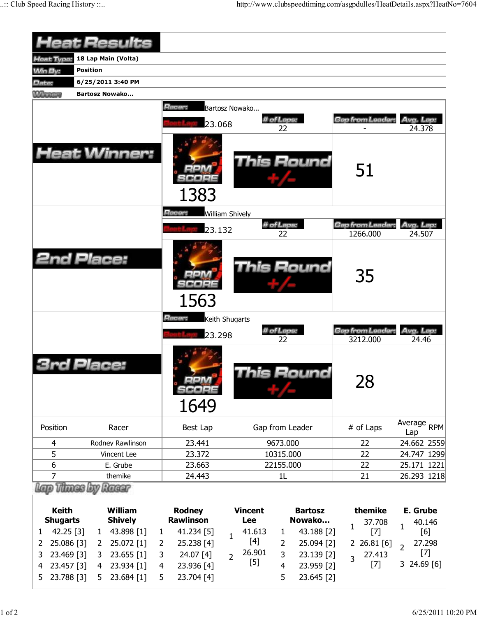|                                 | <b>Heat Results</b>              |                                        |                                                          |                        |                                    |  |  |  |  |  |  |  |
|---------------------------------|----------------------------------|----------------------------------------|----------------------------------------------------------|------------------------|------------------------------------|--|--|--|--|--|--|--|
| <b>Heat Type:</b>               | 18 Lap Main (Volta)              |                                        |                                                          |                        |                                    |  |  |  |  |  |  |  |
| <b>Min By:</b>                  | <b>Position</b>                  |                                        |                                                          |                        |                                    |  |  |  |  |  |  |  |
| Date:                           | 6/25/2011 3:40 PM                |                                        |                                                          |                        |                                    |  |  |  |  |  |  |  |
| <b>Winners</b>                  | <b>Bartosz Nowako</b>            |                                        |                                                          |                        |                                    |  |  |  |  |  |  |  |
|                                 |                                  | Racer:<br>Bartosz Nowako<br>23.068     | # of Laps:<br>22                                         | Gap from Leader        | Avg. Lap:<br>24.378                |  |  |  |  |  |  |  |
|                                 | <b>Heat Winner:</b>              | 1383                                   | <b>This Round</b>                                        | 51                     |                                    |  |  |  |  |  |  |  |
|                                 |                                  | Racer:<br><b>William Shively</b>       |                                                          |                        |                                    |  |  |  |  |  |  |  |
|                                 |                                  | 23.132                                 | # of Laps:                                               | Gap from Leader:       | Avg. Lap:                          |  |  |  |  |  |  |  |
|                                 | <b>2nd Place:</b>                |                                        | 22<br>This Round                                         | 1266.000<br>35         | 24.507                             |  |  |  |  |  |  |  |
|                                 |                                  | 1563                                   |                                                          |                        |                                    |  |  |  |  |  |  |  |
|                                 |                                  |                                        |                                                          |                        |                                    |  |  |  |  |  |  |  |
|                                 |                                  | Racer:<br>Keith Shugarts               | # of Laps:                                               | Gap from Leader.       | Avg. Lap.                          |  |  |  |  |  |  |  |
|                                 | Place:                           | 23.298<br>$=1.011$<br>300 a 22<br>1649 | 22<br>his Round                                          | 3212.000<br>28         | 24.46                              |  |  |  |  |  |  |  |
| Position                        | Racer                            | Best Lap                               | Gap from Leader                                          | # of Laps              | Average RPM                        |  |  |  |  |  |  |  |
| 4                               | Rodney Rawlinson                 | 23.441                                 | 9673.000                                                 | 22                     | Lap<br>24.662 2559                 |  |  |  |  |  |  |  |
| 5                               | Vincent Lee                      | 23.372                                 | 10315.000                                                | 22                     | 24.747 1299                        |  |  |  |  |  |  |  |
| 6                               | E. Grube                         | 23.663                                 | 22155.000                                                | 22                     | 25.171 1221                        |  |  |  |  |  |  |  |
| $\overline{7}$                  | themike                          | 24.443                                 | 1L                                                       | 21                     | 26.293 1218                        |  |  |  |  |  |  |  |
|                                 | <b>Thursday</b><br>Racer         |                                        |                                                          |                        |                                    |  |  |  |  |  |  |  |
| <b>Keith</b><br><b>Shugarts</b> | <b>William</b><br><b>Shively</b> | <b>Rodney</b><br><b>Rawlinson</b>      | <b>Vincent</b><br><b>Bartosz</b><br>Nowako<br><b>Lee</b> | themike<br>37.708<br>1 | E. Grube<br>40.146<br>$\mathbf{1}$ |  |  |  |  |  |  |  |